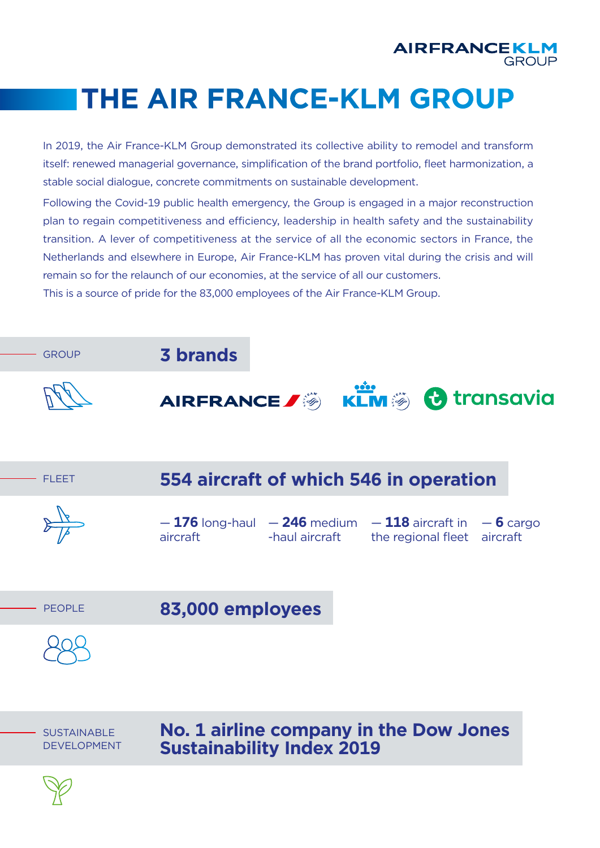

## **THE AIR FRANCE-KLM GROUP**

In 2019, the Air France-KLM Group demonstrated its collective ability to remodel and transform itself: renewed managerial governance, simplification of the brand portfolio, fleet harmonization, a stable social dialogue, concrete commitments on sustainable development.

Following the Covid-19 public health emergency, the Group is engaged in a major reconstruction plan to regain competitiveness and efficiency, leadership in health safety and the sustainability transition. A lever of competitiveness at the service of all the economic sectors in France, the Netherlands and elsewhere in Europe, Air France-KLM has proven vital during the crisis and will remain so for the relaunch of our economies, at the service of all our customers.

This is a source of pride for the 83,000 employees of the Air France-KLM Group.